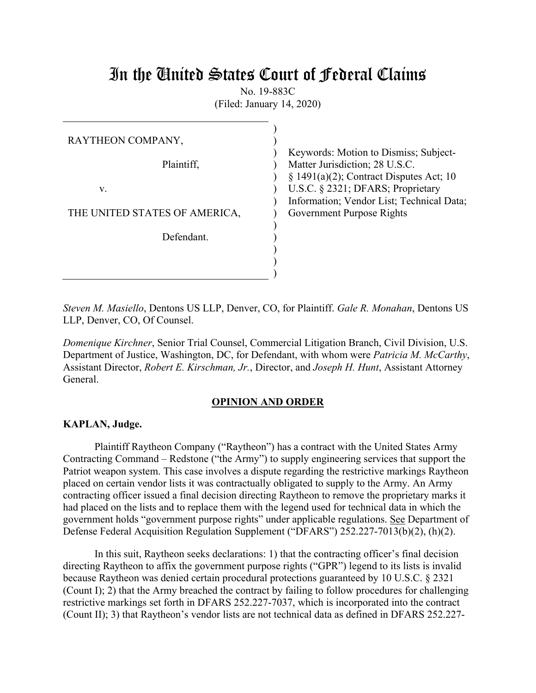# In the United States Court of Federal Claims

No. 19-883C (Filed: January 14, 2020)

| RAYTHEON COMPANY,             | Keywords: Motion to Dismiss; Subject-                                          |
|-------------------------------|--------------------------------------------------------------------------------|
| Plaintiff,                    | Matter Jurisdiction; 28 U.S.C.<br>$\S$ 1491(a)(2); Contract Disputes Act; 10   |
| v.                            | U.S.C. § 2321; DFARS; Proprietary<br>Information; Vendor List; Technical Data; |
| THE UNITED STATES OF AMERICA, | Government Purpose Rights                                                      |
| Defendant.                    |                                                                                |
|                               |                                                                                |

*Steven M. Masiello*, Dentons US LLP, Denver, CO, for Plaintiff. *Gale R. Monahan*, Dentons US LLP, Denver, CO, Of Counsel.

*Domenique Kirchner*, Senior Trial Counsel, Commercial Litigation Branch, Civil Division, U.S. Department of Justice, Washington, DC, for Defendant, with whom were *Patricia M. McCarthy*, Assistant Director, *Robert E. Kirschman, Jr.*, Director, and *Joseph H. Hunt*, Assistant Attorney General.

## **OPINION AND ORDER**

## **KAPLAN, Judge.**

Plaintiff Raytheon Company ("Raytheon") has a contract with the United States Army Contracting Command – Redstone ("the Army") to supply engineering services that support the Patriot weapon system. This case involves a dispute regarding the restrictive markings Raytheon placed on certain vendor lists it was contractually obligated to supply to the Army. An Army contracting officer issued a final decision directing Raytheon to remove the proprietary marks it had placed on the lists and to replace them with the legend used for technical data in which the government holds "government purpose rights" under applicable regulations. See Department of Defense Federal Acquisition Regulation Supplement ("DFARS") 252.227-7013(b)(2), (h)(2).

In this suit, Raytheon seeks declarations: 1) that the contracting officer's final decision directing Raytheon to affix the government purpose rights ("GPR") legend to its lists is invalid because Raytheon was denied certain procedural protections guaranteed by 10 U.S.C. § 2321 (Count I); 2) that the Army breached the contract by failing to follow procedures for challenging restrictive markings set forth in DFARS 252.227-7037, which is incorporated into the contract (Count II); 3) that Raytheon's vendor lists are not technical data as defined in DFARS 252.227-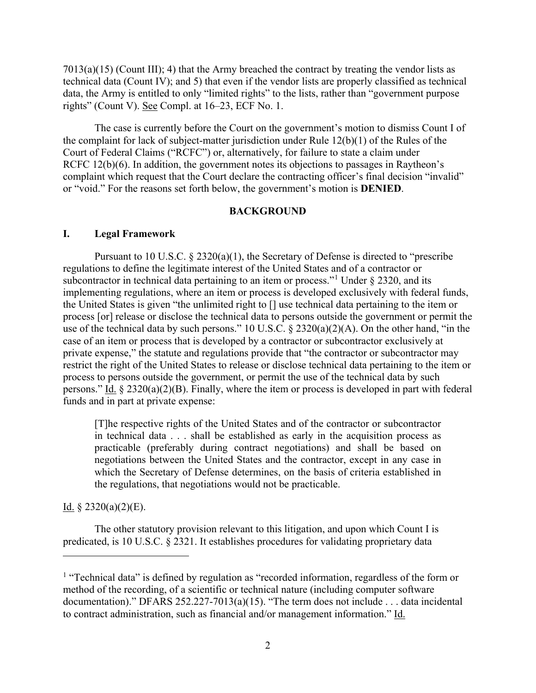$7013(a)(15)$  (Count III); 4) that the Army breached the contract by treating the vendor lists as technical data (Count IV); and 5) that even if the vendor lists are properly classified as technical data, the Army is entitled to only "limited rights" to the lists, rather than "government purpose rights" (Count V). See Compl. at 16–23, ECF No. 1.

The case is currently before the Court on the government's motion to dismiss Count I of the complaint for lack of subject-matter jurisdiction under Rule 12(b)(1) of the Rules of the Court of Federal Claims ("RCFC") or, alternatively, for failure to state a claim under RCFC 12(b)(6). In addition, the government notes its objections to passages in Raytheon's complaint which request that the Court declare the contracting officer's final decision "invalid" or "void." For the reasons set forth below, the government's motion is **DENIED**.

## **BACKGROUND**

#### **I. Legal Framework**

Pursuant to 10 U.S.C.  $\S 2320(a)(1)$ , the Secretary of Defense is directed to "prescribe" regulations to define the legitimate interest of the United States and of a contractor or subcontractor in technical data pertaining to an item or process."<sup>[1](#page-1-0)</sup> Under  $\S$  2320, and its implementing regulations, where an item or process is developed exclusively with federal funds, the United States is given "the unlimited right to [] use technical data pertaining to the item or process [or] release or disclose the technical data to persons outside the government or permit the use of the technical data by such persons." 10 U.S.C. § 2320(a)(2)(A). On the other hand, "in the case of an item or process that is developed by a contractor or subcontractor exclusively at private expense," the statute and regulations provide that "the contractor or subcontractor may restrict the right of the United States to release or disclose technical data pertaining to the item or process to persons outside the government, or permit the use of the technical data by such persons." Id. § 2320(a)(2)(B). Finally, where the item or process is developed in part with federal funds and in part at private expense:

[T]he respective rights of the United States and of the contractor or subcontractor in technical data . . . shall be established as early in the acquisition process as practicable (preferably during contract negotiations) and shall be based on negotiations between the United States and the contractor, except in any case in which the Secretary of Defense determines, on the basis of criteria established in the regulations, that negotiations would not be practicable.

# Id.  $\S$  2320(a)(2)(E).

 $\overline{a}$ 

The other statutory provision relevant to this litigation, and upon which Count I is predicated, is 10 U.S.C. § 2321. It establishes procedures for validating proprietary data

<span id="page-1-0"></span><sup>&</sup>lt;sup>1</sup> "Technical data" is defined by regulation as "recorded information, regardless of the form or method of the recording, of a scientific or technical nature (including computer software documentation)." DFARS 252.227-7013(a)(15). "The term does not include . . . data incidental to contract administration, such as financial and/or management information." Id.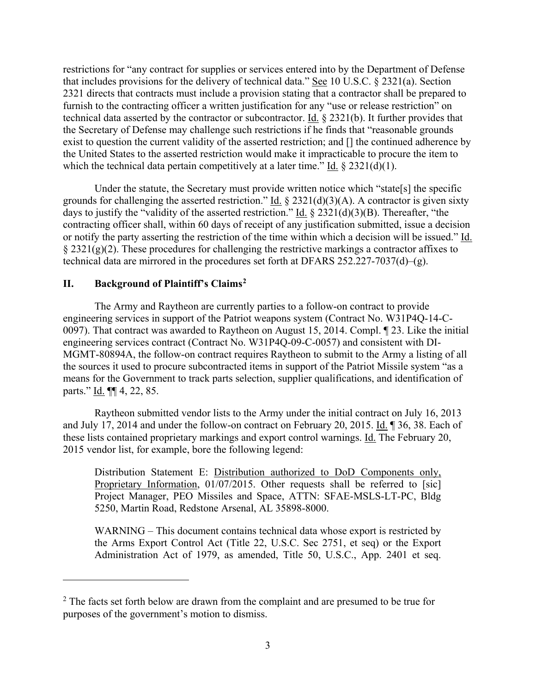restrictions for "any contract for supplies or services entered into by the Department of Defense that includes provisions for the delivery of technical data." See 10 U.S.C. § 2321(a). Section 2321 directs that contracts must include a provision stating that a contractor shall be prepared to furnish to the contracting officer a written justification for any "use or release restriction" on technical data asserted by the contractor or subcontractor. Id. § 2321(b). It further provides that the Secretary of Defense may challenge such restrictions if he finds that "reasonable grounds exist to question the current validity of the asserted restriction; and [] the continued adherence by the United States to the asserted restriction would make it impracticable to procure the item to which the technical data pertain competitively at a later time." Id.  $\S 2321(d)(1)$ .

Under the statute, the Secretary must provide written notice which "state[s] the specific grounds for challenging the asserted restriction." Id.  $\S 2321(d)(3)(A)$ . A contractor is given sixty days to justify the "validity of the asserted restriction." Id.  $\S 2321(d)(3)(B)$ . Thereafter, "the contracting officer shall, within 60 days of receipt of any justification submitted, issue a decision or notify the party asserting the restriction of the time within which a decision will be issued." Id.  $\S 2321(g)(2)$ . These procedures for challenging the restrictive markings a contractor affixes to technical data are mirrored in the procedures set forth at DFARS  $252.227 - 7037(d) - (g)$ .

# **II. Background of Plaintiff's Claims[2](#page-2-0)**

 $\overline{a}$ 

The Army and Raytheon are currently parties to a follow-on contract to provide engineering services in support of the Patriot weapons system (Contract No. W31P4Q-14-C-0097). That contract was awarded to Raytheon on August 15, 2014. Compl. ¶ 23. Like the initial engineering services contract (Contract No. W31P4Q-09-C-0057) and consistent with DI-MGMT-80894A, the follow-on contract requires Raytheon to submit to the Army a listing of all the sources it used to procure subcontracted items in support of the Patriot Missile system "as a means for the Government to track parts selection, supplier qualifications, and identification of parts." Id. ¶¶ 4, 22, 85.

Raytheon submitted vendor lists to the Army under the initial contract on July 16, 2013 and July 17, 2014 and under the follow-on contract on February 20, 2015. Id. 1 36, 38. Each of these lists contained proprietary markings and export control warnings. Id. The February 20, 2015 vendor list, for example, bore the following legend:

Distribution Statement E: Distribution authorized to DoD Components only, Proprietary Information, 01/07/2015. Other requests shall be referred to [sic] Project Manager, PEO Missiles and Space, ATTN: SFAE-MSLS-LT-PC, Bldg 5250, Martin Road, Redstone Arsenal, AL 35898-8000.

WARNING – This document contains technical data whose export is restricted by the Arms Export Control Act (Title 22, U.S.C. Sec 2751, et seq) or the Export Administration Act of 1979, as amended, Title 50, U.S.C., App. 2401 et seq.

<span id="page-2-0"></span> $2$  The facts set forth below are drawn from the complaint and are presumed to be true for purposes of the government's motion to dismiss.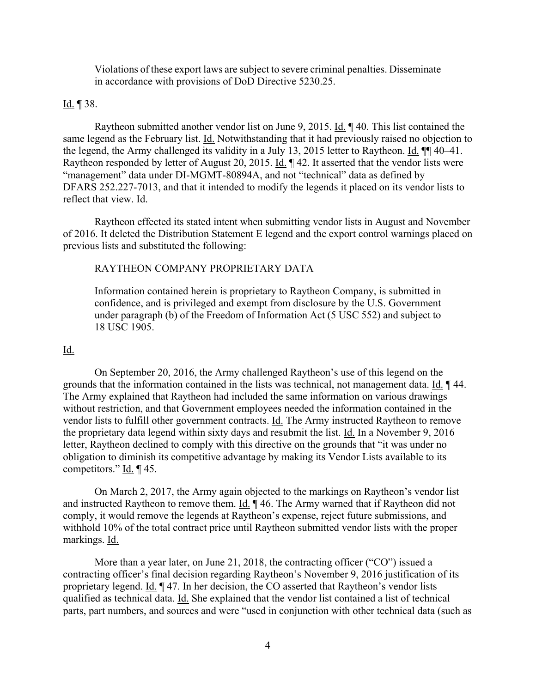Violations of these export laws are subject to severe criminal penalties. Disseminate in accordance with provisions of DoD Directive 5230.25.

#### Id.  $\P$  38.

Raytheon submitted another vendor list on June 9, 2015. Id. ¶ 40. This list contained the same legend as the February list. Id. Notwithstanding that it had previously raised no objection to the legend, the Army challenged its validity in a July 13, 2015 letter to Raytheon. Id. ¶¶ 40–41. Raytheon responded by letter of August 20, 2015. Id. ¶ 42. It asserted that the vendor lists were "management" data under DI-MGMT-80894A, and not "technical" data as defined by DFARS 252.227-7013, and that it intended to modify the legends it placed on its vendor lists to reflect that view. Id.

Raytheon effected its stated intent when submitting vendor lists in August and November of 2016. It deleted the Distribution Statement E legend and the export control warnings placed on previous lists and substituted the following:

#### RAYTHEON COMPANY PROPRIETARY DATA

Information contained herein is proprietary to Raytheon Company, is submitted in confidence, and is privileged and exempt from disclosure by the U.S. Government under paragraph (b) of the Freedom of Information Act (5 USC 552) and subject to 18 USC 1905.

## Id.

On September 20, 2016, the Army challenged Raytheon's use of this legend on the grounds that the information contained in the lists was technical, not management data. Id. 144. The Army explained that Raytheon had included the same information on various drawings without restriction, and that Government employees needed the information contained in the vendor lists to fulfill other government contracts. Id. The Army instructed Raytheon to remove the proprietary data legend within sixty days and resubmit the list. Id. In a November 9, 2016 letter, Raytheon declined to comply with this directive on the grounds that "it was under no obligation to diminish its competitive advantage by making its Vendor Lists available to its competitors." Id. ¶ 45.

On March 2, 2017, the Army again objected to the markings on Raytheon's vendor list and instructed Raytheon to remove them. Id. ¶ 46. The Army warned that if Raytheon did not comply, it would remove the legends at Raytheon's expense, reject future submissions, and withhold 10% of the total contract price until Raytheon submitted vendor lists with the proper markings. Id.

More than a year later, on June 21, 2018, the contracting officer ("CO") issued a contracting officer's final decision regarding Raytheon's November 9, 2016 justification of its proprietary legend. Id. ¶ 47. In her decision, the CO asserted that Raytheon's vendor lists qualified as technical data. Id. She explained that the vendor list contained a list of technical parts, part numbers, and sources and were "used in conjunction with other technical data (such as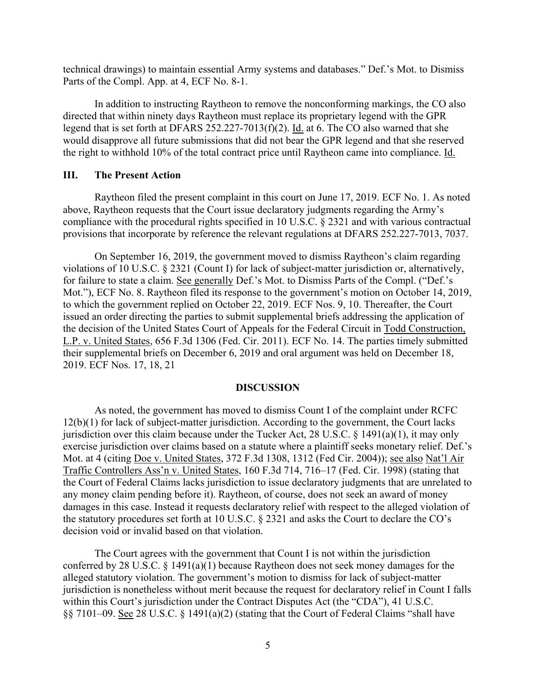technical drawings) to maintain essential Army systems and databases." Def.'s Mot. to Dismiss Parts of the Compl. App. at 4, ECF No. 8-1.

In addition to instructing Raytheon to remove the nonconforming markings, the CO also directed that within ninety days Raytheon must replace its proprietary legend with the GPR legend that is set forth at DFARS 252.227-7013(f)(2). Id. at 6. The CO also warned that she would disapprove all future submissions that did not bear the GPR legend and that she reserved the right to withhold 10% of the total contract price until Raytheon came into compliance. Id.

# **III. The Present Action**

Raytheon filed the present complaint in this court on June 17, 2019. ECF No. 1. As noted above, Raytheon requests that the Court issue declaratory judgments regarding the Army's compliance with the procedural rights specified in 10 U.S.C. § 2321 and with various contractual provisions that incorporate by reference the relevant regulations at DFARS 252.227-7013, 7037.

On September 16, 2019, the government moved to dismiss Raytheon's claim regarding violations of 10 U.S.C. § 2321 (Count I) for lack of subject-matter jurisdiction or, alternatively, for failure to state a claim. See generally Def.'s Mot. to Dismiss Parts of the Compl. ("Def.'s Mot."), ECF No. 8. Raytheon filed its response to the government's motion on October 14, 2019, to which the government replied on October 22, 2019. ECF Nos. 9, 10. Thereafter, the Court issued an order directing the parties to submit supplemental briefs addressing the application of the decision of the United States Court of Appeals for the Federal Circuit in Todd Construction, L.P. v. United States, 656 F.3d 1306 (Fed. Cir. 2011). ECF No. 14. The parties timely submitted their supplemental briefs on December 6, 2019 and oral argument was held on December 18, 2019. ECF Nos. 17, 18, 21

#### **DISCUSSION**

As noted, the government has moved to dismiss Count I of the complaint under RCFC 12(b)(1) for lack of subject-matter jurisdiction. According to the government, the Court lacks jurisdiction over this claim because under the Tucker Act, 28 U.S.C.  $\S$  1491(a)(1), it may only exercise jurisdiction over claims based on a statute where a plaintiff seeks monetary relief. Def.'s Mot. at 4 (citing Doe v. United States, 372 F.3d 1308, 1312 (Fed Cir. 2004)); see also Nat'l Air Traffic Controllers Ass'n v. United States, 160 F.3d 714, 716–17 (Fed. Cir. 1998) (stating that the Court of Federal Claims lacks jurisdiction to issue declaratory judgments that are unrelated to any money claim pending before it). Raytheon, of course, does not seek an award of money damages in this case. Instead it requests declaratory relief with respect to the alleged violation of the statutory procedures set forth at 10 U.S.C. § 2321 and asks the Court to declare the CO's decision void or invalid based on that violation.

The Court agrees with the government that Count I is not within the jurisdiction conferred by 28 U.S.C. § 1491(a)(1) because Raytheon does not seek money damages for the alleged statutory violation. The government's motion to dismiss for lack of subject-matter jurisdiction is nonetheless without merit because the request for declaratory relief in Count I falls within this Court's jurisdiction under the Contract Disputes Act (the "CDA"), 41 U.S.C. §§ 7101–09. See 28 U.S.C. § 1491(a)(2) (stating that the Court of Federal Claims "shall have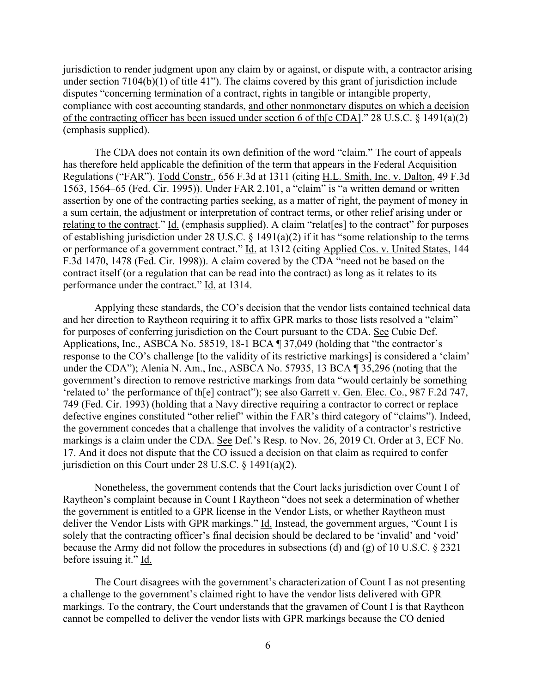jurisdiction to render judgment upon any claim by or against, or dispute with, a contractor arising under section 7104(b)(1) of title 41"). The claims covered by this grant of jurisdiction include disputes "concerning termination of a contract, rights in tangible or intangible property, compliance with cost accounting standards, and other nonmonetary disputes on which a decision of the contracting officer has been issued under section 6 of th[e CDA]." 28 U.S.C. § 1491(a)(2) (emphasis supplied).

The CDA does not contain its own definition of the word "claim." The court of appeals has therefore held applicable the definition of the term that appears in the Federal Acquisition Regulations ("FAR"). Todd Constr., 656 F.3d at 1311 (citing H.L. Smith, Inc. v. Dalton, 49 F.3d 1563, 1564–65 (Fed. Cir. 1995)). Under FAR 2.101, a "claim" is "a written demand or written assertion by one of the contracting parties seeking, as a matter of right, the payment of money in a sum certain, the adjustment or interpretation of contract terms, or other relief arising under or relating to the contract." Id. (emphasis supplied). A claim "relat[es] to the contract" for purposes of establishing jurisdiction under 28 U.S.C. § 1491(a)(2) if it has "some relationship to the terms or performance of a government contract." Id. at 1312 (citing Applied Cos. v. United States, 144 F.3d 1470, 1478 (Fed. Cir. 1998)). A claim covered by the CDA "need not be based on the contract itself (or a regulation that can be read into the contract) as long as it relates to its performance under the contract." Id. at 1314.

Applying these standards, the CO's decision that the vendor lists contained technical data and her direction to Raytheon requiring it to affix GPR marks to those lists resolved a "claim" for purposes of conferring jurisdiction on the Court pursuant to the CDA. See Cubic Def. Applications, Inc., ASBCA No. 58519, 18-1 BCA ¶ 37,049 (holding that "the contractor's response to the CO's challenge [to the validity of its restrictive markings] is considered a 'claim' under the CDA"); Alenia N. Am., Inc., ASBCA No. 57935, 13 BCA ¶ 35,296 (noting that the government's direction to remove restrictive markings from data "would certainly be something 'related to' the performance of th[e] contract"); see also Garrett v. Gen. Elec. Co., 987 F.2d 747, 749 (Fed. Cir. 1993) (holding that a Navy directive requiring a contractor to correct or replace defective engines constituted "other relief" within the FAR's third category of "claims"). Indeed, the government concedes that a challenge that involves the validity of a contractor's restrictive markings is a claim under the CDA. See Def.'s Resp. to Nov. 26, 2019 Ct. Order at 3, ECF No. 17. And it does not dispute that the CO issued a decision on that claim as required to confer jurisdiction on this Court under 28 U.S.C. § 1491(a)(2).

Nonetheless, the government contends that the Court lacks jurisdiction over Count I of Raytheon's complaint because in Count I Raytheon "does not seek a determination of whether the government is entitled to a GPR license in the Vendor Lists, or whether Raytheon must deliver the Vendor Lists with GPR markings." Id. Instead, the government argues, "Count I is solely that the contracting officer's final decision should be declared to be 'invalid' and 'void' because the Army did not follow the procedures in subsections (d) and (g) of 10 U.S.C. § 2321 before issuing it." Id.

The Court disagrees with the government's characterization of Count I as not presenting a challenge to the government's claimed right to have the vendor lists delivered with GPR markings. To the contrary, the Court understands that the gravamen of Count I is that Raytheon cannot be compelled to deliver the vendor lists with GPR markings because the CO denied